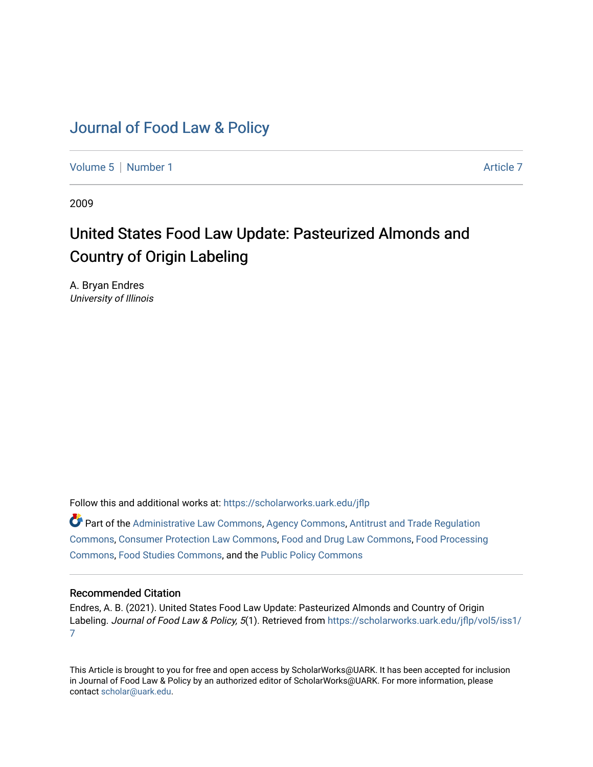## [Journal of Food Law & Policy](https://scholarworks.uark.edu/jflp)

[Volume 5](https://scholarworks.uark.edu/jflp/vol5) | [Number 1](https://scholarworks.uark.edu/jflp/vol5/iss1) Article 7

2009

# United States Food Law Update: Pasteurized Almonds and Country of Origin Labeling

A. Bryan Endres University of Illinois

Follow this and additional works at: [https://scholarworks.uark.edu/jflp](https://scholarworks.uark.edu/jflp?utm_source=scholarworks.uark.edu%2Fjflp%2Fvol5%2Fiss1%2F7&utm_medium=PDF&utm_campaign=PDFCoverPages) 

Part of the [Administrative Law Commons,](http://network.bepress.com/hgg/discipline/579?utm_source=scholarworks.uark.edu%2Fjflp%2Fvol5%2Fiss1%2F7&utm_medium=PDF&utm_campaign=PDFCoverPages) [Agency Commons,](http://network.bepress.com/hgg/discipline/829?utm_source=scholarworks.uark.edu%2Fjflp%2Fvol5%2Fiss1%2F7&utm_medium=PDF&utm_campaign=PDFCoverPages) [Antitrust and Trade Regulation](http://network.bepress.com/hgg/discipline/911?utm_source=scholarworks.uark.edu%2Fjflp%2Fvol5%2Fiss1%2F7&utm_medium=PDF&utm_campaign=PDFCoverPages)  [Commons](http://network.bepress.com/hgg/discipline/911?utm_source=scholarworks.uark.edu%2Fjflp%2Fvol5%2Fiss1%2F7&utm_medium=PDF&utm_campaign=PDFCoverPages), [Consumer Protection Law Commons](http://network.bepress.com/hgg/discipline/838?utm_source=scholarworks.uark.edu%2Fjflp%2Fvol5%2Fiss1%2F7&utm_medium=PDF&utm_campaign=PDFCoverPages), [Food and Drug Law Commons](http://network.bepress.com/hgg/discipline/844?utm_source=scholarworks.uark.edu%2Fjflp%2Fvol5%2Fiss1%2F7&utm_medium=PDF&utm_campaign=PDFCoverPages), [Food Processing](http://network.bepress.com/hgg/discipline/85?utm_source=scholarworks.uark.edu%2Fjflp%2Fvol5%2Fiss1%2F7&utm_medium=PDF&utm_campaign=PDFCoverPages) [Commons](http://network.bepress.com/hgg/discipline/85?utm_source=scholarworks.uark.edu%2Fjflp%2Fvol5%2Fiss1%2F7&utm_medium=PDF&utm_campaign=PDFCoverPages), [Food Studies Commons](http://network.bepress.com/hgg/discipline/1386?utm_source=scholarworks.uark.edu%2Fjflp%2Fvol5%2Fiss1%2F7&utm_medium=PDF&utm_campaign=PDFCoverPages), and the [Public Policy Commons](http://network.bepress.com/hgg/discipline/400?utm_source=scholarworks.uark.edu%2Fjflp%2Fvol5%2Fiss1%2F7&utm_medium=PDF&utm_campaign=PDFCoverPages) 

### Recommended Citation

Endres, A. B. (2021). United States Food Law Update: Pasteurized Almonds and Country of Origin Labeling. Journal of Food Law & Policy, 5(1). Retrieved from [https://scholarworks.uark.edu/jflp/vol5/iss1/](https://scholarworks.uark.edu/jflp/vol5/iss1/7?utm_source=scholarworks.uark.edu%2Fjflp%2Fvol5%2Fiss1%2F7&utm_medium=PDF&utm_campaign=PDFCoverPages) [7](https://scholarworks.uark.edu/jflp/vol5/iss1/7?utm_source=scholarworks.uark.edu%2Fjflp%2Fvol5%2Fiss1%2F7&utm_medium=PDF&utm_campaign=PDFCoverPages) 

This Article is brought to you for free and open access by ScholarWorks@UARK. It has been accepted for inclusion in Journal of Food Law & Policy by an authorized editor of ScholarWorks@UARK. For more information, please contact [scholar@uark.edu.](mailto:scholar@uark.edu)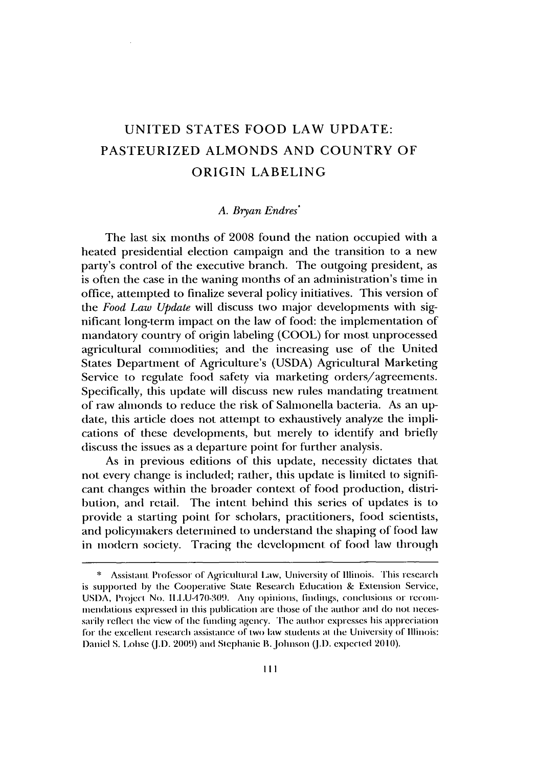## **UNITED STATES** FOOD LAW **UPDATE: PASTEURIZED ALMONDS AND** COUNTRY OF ORIGIN **LABELING**

#### *A. Bryan Endres\**

The last six months of **2008** found the nation occupied with a heated presidential election campaign and the transition to a new party's control of the executive branch. The outgoing president, as is often the case in the waning months of an administration's time in office, attempted to finalize several policy initiatives. This version of the *Food Law Update* will discuss two major developments with significant long-term impact on the law of food: the implementation of mandatory country of origin labeling **(COOL)** for most unprocessed agricultural commodities; and the increasing use of the United States Department of Agriculture's **(USDA)** Agricultural Marketing Service to regulate food safety via marketing orders/agreements. Specifically, this update will discuss new rules mandating treatment of raw almonds to reduce the risk of Salmonella bacteria. As an up date, this article does not attempt to exhaustively analyze the implications of these developments, but merely to identify and briefly discuss the issues as a departure point for further analysis.

As in previous editions of this update, necessity dictates that not every change is included; rather, this update is limited to significant changes within the broader context of food production, distribution, and retail. The intent behind this series of updates is to provide a starting point for scholars, practitioners, food scientists, and policymakers determined to understand the shaping of food law in modern society. Tracing the development of food law through

**<sup>\*</sup>** Assistant Professor of Agricultural **Law,** University **of Illinois.** This **research** is sup)orted **by** the Cooperative State Research Education **&** Extension Service, USDA, Project No. ILLU-470-309. Any opinions, findings, conclusions or recommendations expressed in this publication are those of the author and do not necessarily reflect the view of the inding *agency.* The author expresses his appreciation for the excellent research assistance of two law students at the University of Illinois: Daniel **S.** Lobse **(J.D.** 2009) and Stephanic B.Johnson **(J.D.** expected 2010).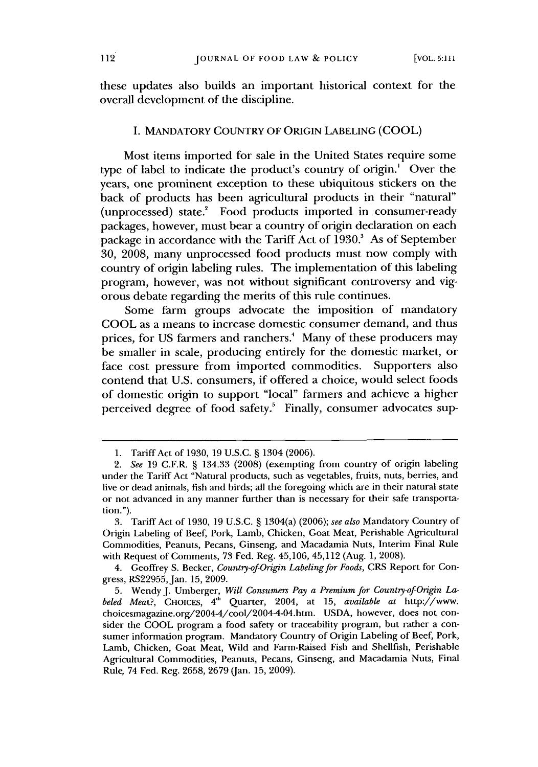these updates also builds an important historical context for the overall development of the discipline.

#### **I.** MANDATORY COUNTRY OF ORIGIN **LABELING (COOL)**

Most items imported for sale in the United States require some type of label to indicate the product's country of origin.' Over the years, one prominent exception to these ubiquitous stickers on the back of products has been agricultural products in their "natural" (unprocessed) state.<sup>2</sup> Food products imported in consumer-ready packages, however, must bear a country of origin declaration on each package in accordance with the Tariff Act of **1930.'** As of September **30, 2008,** many unprocessed food products must now comply with country of origin labeling rules. The implementation of this labeling program, however, was not without significant controversy and vigorous debate regarding the merits of this rule continues.

Some farm groups advocate the imposition of mandatory **COOL** as a means to increase domestic consumer demand, and thus prices, for **US** farmers and ranchers.' Many of these producers may be smaller in scale, producing entirely for the domestic market, or face cost pressure from imported commodities. Supporters also contend that **U.S.** consumers, if offered a choice, would select foods of domestic origin to support "local" farmers and achieve a higher perceived degree of food safety.<sup>5</sup> Finally, consumer advocates sup-

**<sup>1.</sup>** Tariff Act of **1930, 19 U.S.C. §** 1304 **(2006).**

*<sup>2.</sup> See* **19** C.F.R. **§** 134.33 **(2008)** (exempting from country of origin labeling under the Tariff Act "Natural products, such as vegetables, fruits, nuts, berries, and live or dead animals, fish and birds; all the foregoing which are in their natural state or not advanced in any manner further than is necessary for their safe transportation.").

**<sup>3.</sup>** Tariff Act of **1930, 19 U.S.C. §** 1304(a) **(2006);** *see also* Mandatory Country of Origin Labeling of Beef, Pork, Lamb, Chicken, Goat Meat, Perishable Agricultural Commodities, Peanuts, Pecans, Ginseng, and Macadamia Nuts, Interim Final Rule with Request of Comments, **73** Fed. Reg. 45,106, 45,112 (Aug. **1, 2008).**

<sup>4.</sup> Geoffrey **S.** Becker, *Country-ofOrigin Labeling for Foods,* CRS Report for Congress, RS22955, Jan. **15, 2009.**

**<sup>5.</sup>** Wendy **J.** Umberger, *Will Consumers Pay a Premium for Country-of-Origin Labeled Meat?,* CHOIcEs, 4' Quarter, 2004, at **15,** *available at* http://www. choicesmagazine.org/2004-4/cool/2004-4-04.htm. **USDA,** however, does not consider the **COOL** program a food safety or traceability program, but rather a consumer information program. Mandatory Country of Origin Labeling of Beef, Pork, Lamb, Chicken, Goat Meat, Wild and Farm-Raised Fish and Shellfish, Perishable Agricultural Commodities, Peanuts, Pecans, Ginseng, and Macadamia Nuts, Final Rule, 74 Fed. Reg. **2658, 2679** (Jan. **15, 2009).**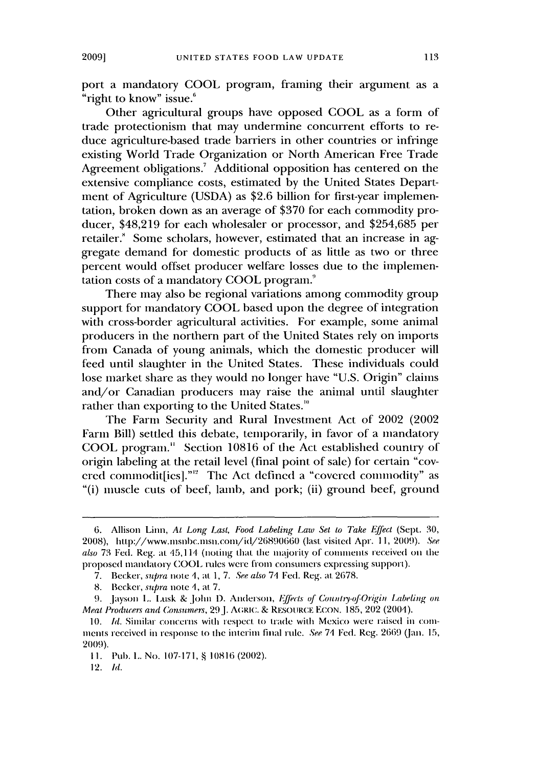port a mandatory **COOL** program, framing their argument as a "right to know" issue.<sup>6</sup>

Other agricultural groups have opposed **COOL** as a form of trade protectionism that may undermine concurrent efforts to reduce agriculture-based trade barriers in other countries or infringe existing World Trade Organization or North American Free Trade Agreement obligations.<sup>7</sup> Additional opposition has centered on the extensive compliance costs, estimated **by** the United States Department of Agriculture *(USDA)* as \$2.6 billion for first-year implementation, broken down as an average of **\$370** for each commodity producer, \$48,219 for each wholesaler or processor, and **\$254,685** per retailer.' Some scholars, however, estimated that an increase in aggregate demand for domestic products of as little as two or three percent would offset producer welfare losses due to the implementation costs of a mandatory **COOL** program."

There may also **be** regional variations among commodity group support for mandatory **COOL** based upon the degree of integration with cross-border agricultural activities. For example, some animal producers in the northern part of the United States rely on imports from Canada of young animals, which the domestic producer will feed until slaughter in the United States. These individuals could lose market share as they would no longer have **"U.S.** Origin" claims and/or Canadian producers may raise the animal until slaughter rather than exporting to the United States.'

The Farm Security and Rural Investment Act of 2002 (2002 Farm Bill) settled this debate, temporarily, in favor of a mandatory **COOL** program." Section **10816** of the Act established country of origin labeling at the retail level (final point of sale) for certain "covered commodit[ies]."<sup>12</sup> The Act defined a "covered commodity" as "(i) muscle cuts of beef, lamb, and pork; (ii) ground beef, ground

*<sup>6.</sup>* Allison Linn, *At Long Last, Food Labeling Law Set to Take Effect* (Sept. **30, 2008),** hit1p://www.imsnbc.insn.coim/id/26890660 (last visited Apr. **11,** *2009). See aLso* **73** Fed. Reg. at 15,1 1 (noting that the majority of conments received on the proposed nandatory COOL riles **were** from **consumers** expressing **support).**

**<sup>7.</sup>** Becker, *supra* note *4,* **at** *1, 7. See* also **74** Fed. Reg. at 2678.

**<sup>8.</sup>** Becker, *supra* note *4,* at *7.*

**<sup>9.</sup>** Jayson **L.** Lusk & John **1).** Anderson, *1ffects of CounIay-of-Origin Labeling on Meat Producers and Consumers,* **29J.** AGRIC. **&** RESOURCE **ECON. 185,** 202 *(2001).*

**<sup>10.</sup>** *Id.* Similar concerns with iespect to trade with Mexico were raised in comients received in **response** to **the** interim final rile. *See* 74 Fed. Reg. 2669 (Jan. **15, 2009).**

**I1.** Pub. **L.** No. **107-171, § 10816** (2002).

<sup>12.</sup> *Id.*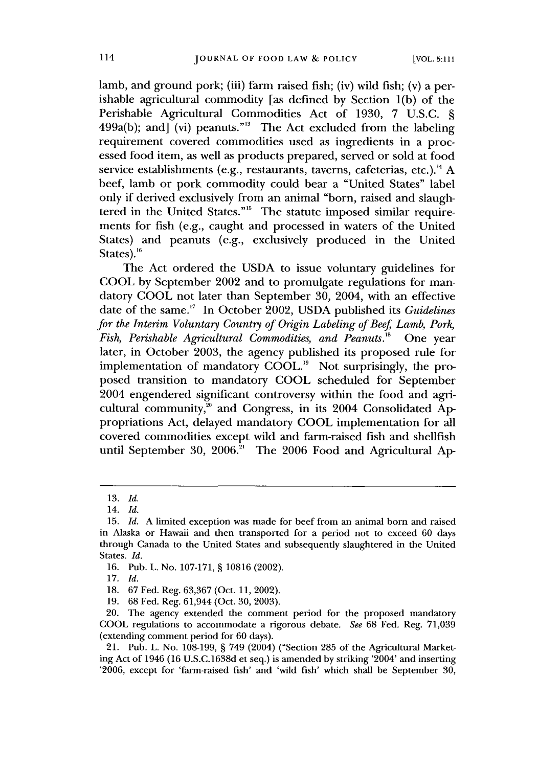lamb, and ground pork; (iii) farm raised fish; (iv) wild fish; (v) a perishable agricultural commodity [as defined **by** Section **1(b)** of the Perishable Agricultural Commodities Act of **1930,** *7* **U.S.C. §** 499a(b); and  $\tilde{J}$  (vi) peanuts."<sup>13</sup> The Act excluded from the labeling requirement covered commodities used as ingredients in a processed food item, as well as products prepared, served or sold at food service establishments **(e.g.,** restaurants, taverns, cafeterias, etc.)." **A** beef, lamb or pork commodity could bear a "United States" label only if derived exclusively from an animal "born, raised and slaughtered in the United States."<sup>15</sup> The statute imposed similar requirements for fish **(e.g.,** caught and processed in waters of the United States) and peanuts (e.g., exclusively produced in the United States).<sup>16</sup>

The Act ordered the **USDA** to issue voluntary guidelines for **COOL by** September 2002 and to promulgate regulations for mandatory **COOL** not later than September **30,** 2004, with an effective date of the same." In October 2002, **USDA** published its *Guidelines for the Interim Voluntary Country of Origin Labeling of Beef Lamb, Pork, Fish, Perishable Agricultural Commodities, and Peanuts.*<sup>18</sup> One year later, in October **2003,** the agency published its proposed rule for implementation of mandatory COOL.<sup>19</sup> Not surprisingly, the proposed transition to mandatory **COOL** scheduled for September 2004 engendered significant controversy within the food and agricultural community,<sup>20</sup> and Congress, in its 2004 Consolidated Appropriations Act, delayed mandatory **COOL** implementation for all covered commodities except wild and farm-raised fish and shellfish until September 30, 2006.<sup>21</sup> The 2006 Food and Agricultural Ap-

**<sup>13.</sup>** *Id.*

<sup>14.</sup> *Id.*

**<sup>15.</sup>** *Id.* **A** limited exception was made for beef from an animal born and raised in Alaska or Hawaii and then transported for a period not to exceed **60** days through Canada to the United States and subsequently slaughtered in the United States. *Id.*

**<sup>16.</sup>** Pub. L. No. **107-171, § 10816** (2002).

**<sup>17.</sup>** *Id.*

**<sup>18. 67</sup>** Fed. Reg. **63,367** (Oct. **11,** 2002).

**<sup>19. 68</sup>** Fed. Reg. 61,944 (Oct. **30, 2003).**

<sup>20.</sup> The agency extended the comment period for the proposed mandatory **COOL** regulations to accommodate a rigorous debate. *See* **68** Fed. Reg. **71,039** (extending comment period for **60** days).

<sup>21.</sup> Pub. L. No. **108-199, §** 749 (2004) ("Section **285** of the Agricultural Marketing Act of 1946 **(16 U.S.C.1638d** et seq.) is amended **by** striking '2004' and inserting **'2006,** except for 'farm-raised fish' and 'wild fish' which shall be September **30,**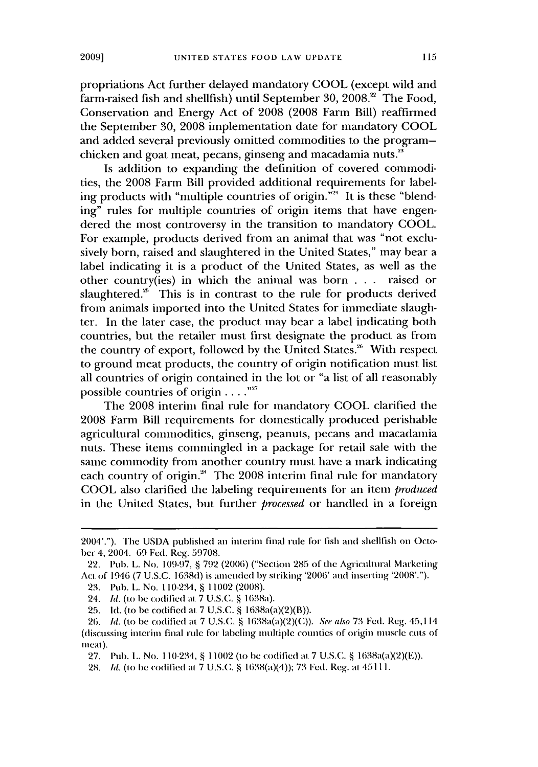propriations Act further delayed mandatory **COOL** (except wild and farm-raised fish and shellfish) until September **30, 2008.'** The Food, Conservation and Energy Act of **2008 (2008** Farm Bill) reaffirmed the September **30, 2008** implementation date for mandatory **COOL** and added several previously omitted commodities to the programchicken and goat meat, pecans, ginseng and macadamia nuts."

Is addition to expanding the definition of covered commodities, the **2008** Farm Bill provided additional requirements for labeling products with "multiple countries of origin."<sup>24</sup> It is these "blending" rules for multiple countries of origin items that have engendered the most controversy in the transition to mandatory **COOL.** For example, products derived from an animal that was "not exclusively born, raised and slaughtered in the United States," may bear a label indicating it is a product of the United States, as well as the other country(ies) in which the animal was born **. . .** raised or slaughtered.<sup>25</sup> This is in contrast to the rule for products derived from animals imported into the United States for immediate slaughter. In the later case, the product may bear a label indicating both countries, but the retailer must first designate the product as from the country of export, followed by the United States.<sup>26</sup> With respect to ground meat products, the country of origin notification must list all countries of origin contained in the lot or "a list of all reasonably possible countries of origin **.** . **..**

The **2008** interim final rule for mandatory **COOL** clarified the **2008** Farm Bill requirements for domestically produced perishable agricultural conunodities, ginseng, peanuts, pecans and macadamia nuts. These items commingled in a package for retail sale with the same commodity from another country must have a mark indicating each country of origin.<sup>28</sup> The 2008 interim final rule for mandatory **COOL** also clarified the labeling requirements for an item *produced* in the United States, but further *processed* or handled in a foreign

<sup>2001&#</sup>x27;."). The **USDA** published an interin final rule for fish and shellfish on October 4, 2004. **69** Fed. Reg. **59708.**

<sup>22.</sup> Pub. **L.** No. 109-97, **§ 792** (2006) ("Section **285** of the Agricultural Marketing Act of **1916 (7 U.S.C.** 1638d) is amended **by** striking '2006' and inserting '2008'.").

<sup>23.</sup> Pub. L. No. 110-234, § 11002 (2008).

*<sup>24.</sup>* **Id.** (to be codified **al.7 U.S.C. § I638a).**

**<sup>25.</sup> Id.** (to **be** codified at. **7 U.S.C. §** 1638a(a)(2)(B)).

<sup>26.</sup> Id. (to be codified at **7 U.S.C. §** I638a(a)(2)(C)). See also **73** Fed. Reg. 45,114 (discussing interim final rule for labeling multiplc countics of origin nuiscic **cuts of** meat).

**<sup>27.</sup>** Pub. **L.** No. 110-234, 11002 (to **be** codified **at 7 U.S.C. §** 1638a(a)(2)(E)).

**<sup>28.</sup> Id.** (to be codified at **7 U.S.C.** I638(a)(4)); **73** Fed. Reg. at 45111.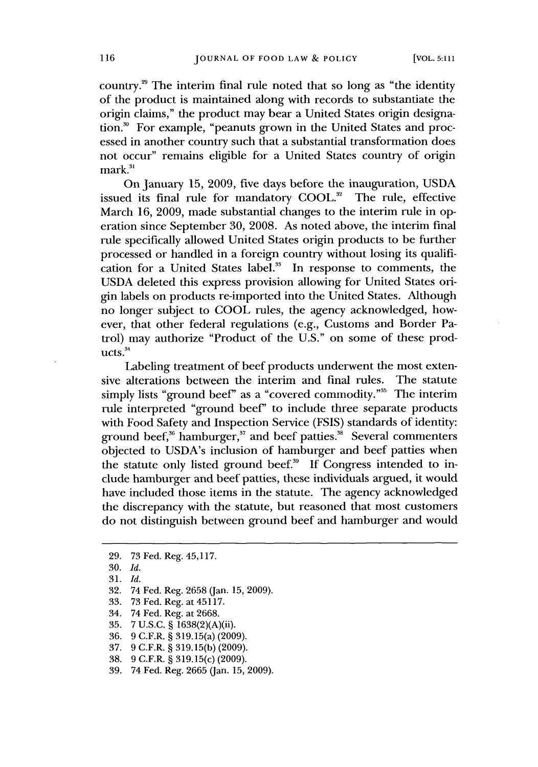country." The interim final rule noted that so long as "the identity of the product is maintained along with records to substantiate the origin claims," the product may bear a United States origin designation." For example, "peanuts grown in the United States and processed in another country such that a substantial transformation does not occur" remains eligible for a United States country of origin mark.<sup>31</sup>

On January **15,** 2009, five days before the inauguration, **USDA** issued its final rule for mandatory **COOL."** The rule, effective March **16, 2009,** made substantial changes to the interim rule in operation since September **30, 2008.** As noted above, the interim final rule specifically allowed United States origin products to **be** further processed or handled in a foreign country without losing its qualification for a United States label.<sup>33</sup> In response to comments, the **USDA** deleted this express provision allowing for United States origin labels on products re-imported into the United States. Although no longer subject to **COOL** rules, the agency acknowledged, however, that other federal regulations (e.g., Customs and Border Patrol) may authorize "Product of the **U.S."** on some of these prod $ucts.<sup>34</sup>$ 

Labeling treatment of beef products underwent the most extensive alterations between the interim and final rules. The statute simply lists "ground beef" as a "covered commodity."<sup>35</sup> The interim rule interpreted "ground beef' to include three separate products with Food Safety and Inspection Service **(FSIS)** standards of identity: ground beef,<sup>36</sup> hamburger,<sup>37</sup> and beef patties.<sup>38</sup> Several commenters objected to USDA's inclusion of hamburger and beef patties when the statute only listed ground beef.<sup>39</sup> If Congress intended to include hamburger and beef patties, these individuals argued, it would have included those items in the statute. The agency acknowledged the discrepancy with the statute, but reasoned that most customers do not distinguish between ground beef and hamburger and would

- 34. 74 Fed. Reg. at **2668.**
- **35. 7 U.S.C. §** 1638(2)(A)(ii).
- **36. 9** C.F.R. **§** 319.15(a) **(2009).**
- **37. 9** C.F.R. **§ 319.15(b) (2009).**
- **38. 9** C.F.R. **§** 319.15(c) **(2009).**
- **39.** 74 Fed. Reg. **2665** (Jan. **15, 2009).**

**<sup>29. 73</sup>** Fed. Reg. *45,117.*

**<sup>30.</sup>** *Id,*

**<sup>31.</sup>** *Id.*

**<sup>32.</sup>** 74 Fed. Reg. **2658** (Jan. **15, 2009).**

**<sup>33. 73</sup> Fed.** Reg. at 45117.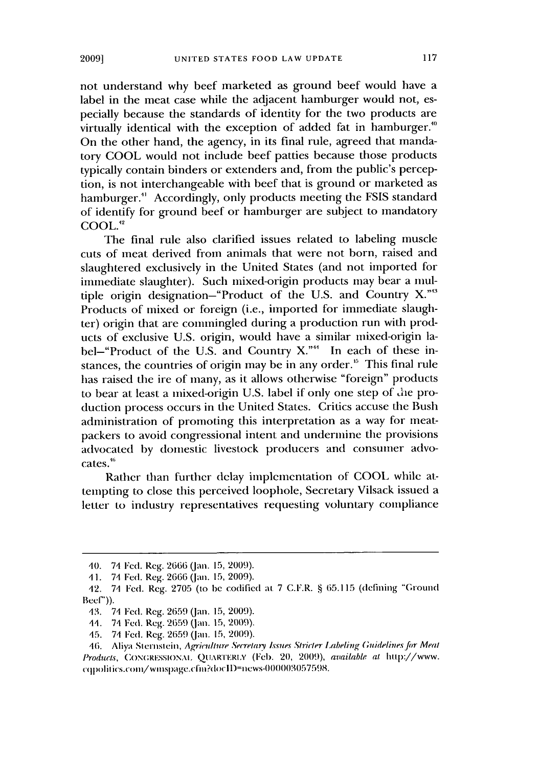not understand why beef marketed as ground beef would have a label in the meat case while the adjacent hamburger would not, especially because the standards of identity for the two products are virtually identical with the exception of added fat in hamburger." On the other hand, the agency, in its final rule, agreed that mandatory **COOL** would not include beef patties because those products typically contain binders or extenders and, from the public's perception, is not interchangeable with beef that is ground or marketed as hamburger." Accordingly, only products meeting the **FSIS** standard of identify for ground beef or hamburger are subject to mandatory **COOL.12**

The final rule also clarified issues related to labeling muscle cuts of meat derived from animals that were not born, raised and slaughtered exclusively in the United States (and not imported for immediate slaughter). Such mixed-origin products may bear a multiple origin designation-"Product of the **U.S.** and Country X."" Products of mixed or foreign (i.e., imported for immediate slaughter) origin that are commingled during a production run with products of exclusive **U.S.** origin, would have a similar mixed-origin label-"Product of the U.S. and Country X."<sup>44</sup> In each of these instances, the countries of origin may be in any order." This final rule has raised the ire of many, as it allows otherwise "foreign" products to bear at least a mixed-origin **U.S.** label if only one step of 1he production process occurs in the United States. Critics accuse the Bush administration of promoting this interpretation as a way for meatpackers to avoid congressional intent and undermine the provisions advocated **by** domestic livestock producers and consumer advocates."

Rather than further delay implementation of **COOL** while attempting to close this perceived loophole, Secretary Vilsack issued a letter to industry representatives requesting voluntary compliance

*<sup>40.</sup>* 74 Fed. Reg. **2666** (an. **15,** 2009).

**<sup>1</sup> 1. 71** Fed. Reg. 2666 **(an. 15, 2009).**

<sup>12.</sup> **71** Fed. Reg. **2705** (to **be** codified at **7** C.F.R. **§** 65.115 (dcfining "Ground  $Becf$ )).

**<sup>43. 71</sup> Fed.** Reg. **2659** (an. **15,** 2009).

<sup>45. 74</sup> **Fed.** Reg. **2659** (Jan. **15, 2009).**

<sup>15.</sup> **71** Fed. Reg. 2659 (Jan. **15, 2009).**

<sup>16.</sup> Aliya Sternsicin, Agriulture Serretary Issues Sirirter Labeling *Guidelinesfor* Meal Products, CONGRESSIONAL QUARTERLY (Feb. 20, 2009), available at http://www. cqpolitics.com/wmspage.cfm?docID=news-000003057598.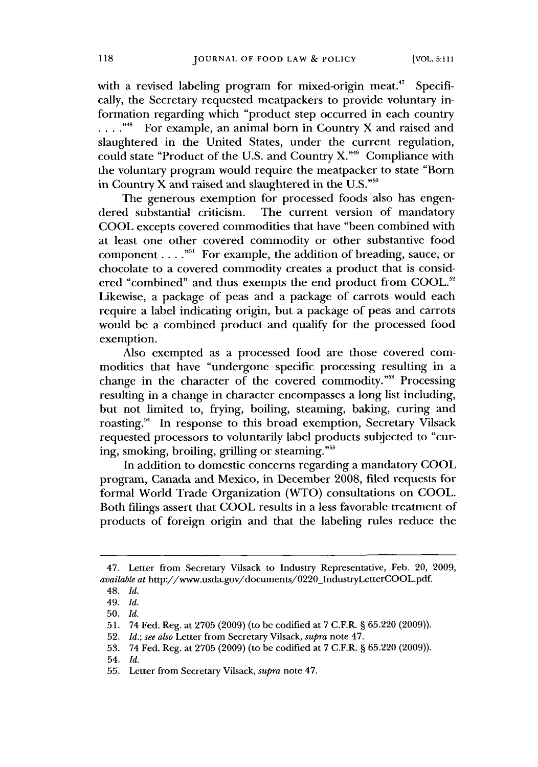with a revised labeling program for mixed-origin meat." Specifically, the Secretary requested meatpackers to provide voluntary information regarding which "product step occurred in each country **. . . .""** For example, an animal born in Country X and raised and slaughtered in the United States, under the current regulation, could state "Product of the **U.S.** and Country X."4 Compliance with the voluntary program would require the meatpacker to state "Born in Country X and raised and slaughtered in the **U.S."so**

The generous exemption for processed foods also has engendered substantial criticism. The current version of mandatory **COOL** excepts covered commodities that have "been combined with at least one other covered commodity or other substantive food component. **. . .""** For example, the addition of breading, sauce, or chocolate to a covered commodity creates a product that is considered "combined" and thus exempts the end product from **COOL."** Likewise, a package of peas and a package of carrots would each require a label indicating origin, but a package of peas and carrots would be a combined product and qualify for the processed food exemption.

Also exempted as a processed food are those covered commodities that have "undergone specific processing resulting in a change in the character of the covered commodity."<sup>53</sup> Processing resulting in a change in character encompasses a long list including, but not limited to, frying, boiling, steaming, baking, curing and roasting.<sup>54</sup> In response to this broad exemption, Secretary Vilsack requested processors to voluntarily label products subjected to "curing, smoking, broiling, grilling or steaming."<sup>55</sup>

In addition to domestic concerns regarding a mandatory **COOL** program, Canada and Mexico, in December **2008,** filed requests for formal World Trade Organization (WTO) consultations on **COOL.** Both filings assert that **COOL** results in a less favorable treatment of products of foreign origin and that the labeling rules reduce the

<sup>47.</sup> Letter from Secretary Vilsack to Industry Representative, Feb. 20, **2009,** *available at* http://www.usda.gov/documents/0220\_IndustryLetterCOOL.pdf.

<sup>48.</sup> *Id.*

<sup>49.</sup> *Id.*

**<sup>50.</sup>** *Id.*

**<sup>51.</sup>** 74 **Fed.** Reg. at **2705 (2009)** (to **be** codified at **7** C.F.R. **§ 65.220 (2009)).**

**<sup>52.</sup>** *Id.; see also* Letter from Secretary Vilsack, *supra* note 47.

**<sup>53.</sup>** 74 Fed. Reg. at **2705 (2009)** (to be codified at **7** *C.F.R.* **§ 65.220 (2009)).**

<sup>54.</sup> *Id.*

**<sup>55.</sup>** Letter from Secretary Vilsack, *supra* note 47.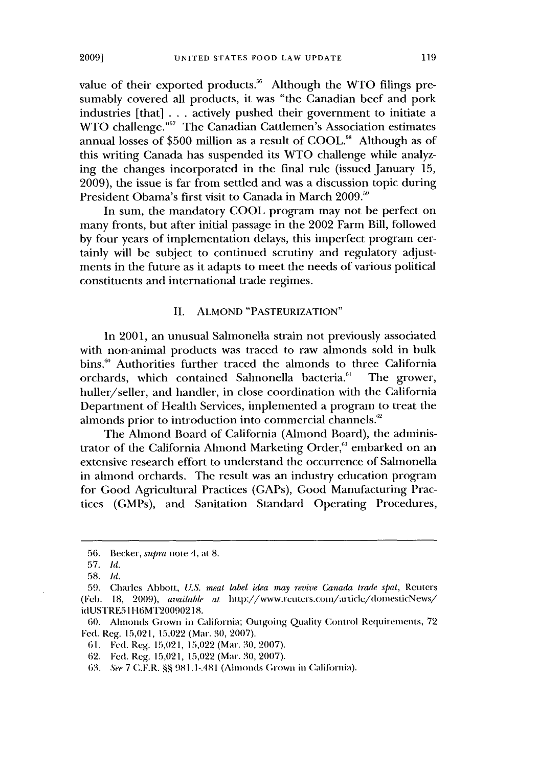value of their exported products.<sup>56</sup> Although the WTO filings presumably covered all products, it was "the Canadian beef and pork industries [that] **.** . **.** actively pushed their government to initiate a WTO challenge."<sup>57</sup> The Canadian Cattlemen's Association estimates annual losses of **\$500** million as a result of **COOL."** Although as of this writing Canada has suspended its WTO challenge while analyzing the changes incorporated in the final rule (issued January **15, 2009),** the issue is far from settled and was a discussion topic during President Obama's first visit to Canada in March **2009."**

In sum, the mandatory **COOL** program may not be perfect on many fronts, but after initial passage in the 2002 Farm Bill, followed **by** four years of implementation delays, this imperfect program certainly will be subject to continued scrutiny and regulatory adjustments in the future as it adapts to meet the needs of various political constituents and international trade regimes.

#### **II. ALMOND "PASTEURIZATION"**

In 2001, an unusual Salmonella strain not previously associated with non-animal products was traced to raw almonds sold in bulk bins." Authorities further traced the almonds to three California orchards, which contained Salmonella bacteria." The grower, huller/seller, and handler, in close coordination with the California Department of Health Services, implemented a program to treat the almonds prior to introduction into commercial channels.<sup>62</sup>

The Almond Board of California (Almond Board), the administrator of the California Almond Marketing Order," embarked on an extensive research effort to understand the occurrence of Salmonella in almond orchards. The result was an industry education program for Good Agricultural Practices (GAPs), Good Manufacturing Practices (GMPs), and Sanitation Standard Operating Procedures,

*<sup>56.</sup>* Becker, supra note 4, at **8.**

*<sup>57.</sup> Id.*

**<sup>58.</sup>** *Id.*

**<sup>59.</sup>** Charles Abbott, *U.S. meat label idea may revive Canada trade spat,* Reuters (Feb. **18,** *2009), available at* http://www.reuters.com/article/domesticNews/ idUSTRE51116MT20090218.

<sup>60.</sup> Alnouls Grown in California; Outgoing Quality Control Requirements, **<sup>72</sup> Fed.** Reg. **15,021, 15,022** (Mar. **30, 2007).**

<sup>61.</sup> Fed. Reg. **15,021, 15,022** (Mar. **30, 2007).**

**<sup>62.</sup>** Fed. Reg. **15,021, 15,022** (Mar. 30, **2007).**

*<sup>63.</sup> See 7* C.E.R. **§ 981.1-.481** (Ahlonds Grown in Califoriia).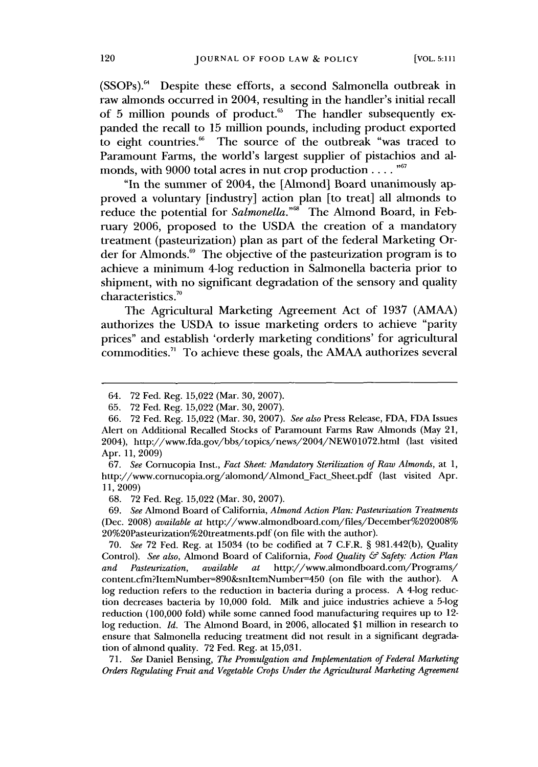(SSOPs)." Despite these efforts, a second Salmonella outbreak in raw almonds occurred in 2004, resulting in the handler's initial recall of 5 million pounds of product.<sup>65</sup> The handler subsequently expanded the recall to **15** million pounds, including product exported to eight countries.<sup>66</sup> The source of the outbreak "was traced to Paramount Farms, the world's largest supplier of pistachios and almonds, with **9000** total acres in nut crop production. **. . . ""**

"In the summer of 2004, the [Almond] Board unanimously approved a voluntary [industry] action plan [to treat] all almonds to reduce the potential for *Salmonella*."<sup>68</sup> The Almond Board, in February **2006,** proposed to the **USDA** the creation of a mandatory treatment (pasteurization) plan as part of the federal Marketing Order for Almonds." The objective of the pasteurization program is to achieve a minimum 4-log reduction in Salmonella bacteria prior to shipment, with no significant degradation of the sensory and quality characteristics."

The Agricultural Marketing Agreement Act of **1937 (AMAA)** authorizes the **USDA** to issue marketing orders to achieve "parity prices" and establish 'orderly marketing conditions' for agricultural commodities.7 ' To achieve these goals, the **AMAA** authorizes several

**68. 72** Fed. Reg. **15,022** (Mar. **30, 2007).**

<sup>64.</sup> **72** Fed. Reg. **15,022** (Mar. **30, 2007).**

**<sup>65. 72</sup>** Fed. Reg. **15,022** (Mar. **30, 2007).**

**<sup>66. 72</sup>** Fed. Reg. **15,022** (Mar. **30, 2007).** *See also* Press Release, **FDA, FDA** Issues Alert on Additional Recalled Stocks of Paramount Farms Raw Almonds (May 21, 2004), http://www.fda.gov/bbs/topics/news/2004/NEW01072.html (last visited Apr. **11, 2009)**

**<sup>67.</sup>** *See* Cornucopia Inst., *Fact Sheet: Mandatory Sterilization of Raw Almonds,* at **1,** http://www.cornucopia.org/alomond/Almond\_Fact\_Sheet.pdf (last visited Apr. **11,2009)**

**<sup>69.</sup>** *See* Almond Board of California, *Almond Action Plan: Pasteurization Treatments* (Dec. **2008)** *available at* http://www.almondboard.com/files/December%202008% 20%2OPasteurization%20treatments.pdf (on file with the author).

**<sup>70.</sup>** *See* **72** Fed. Reg. at 15034 (to be codified at **7** C.F.R. **§** 981.442(b), Quality Control). *See also,* Almond Board of California, *Food Quality & Safety: Action Plan and Pasteurization, available at* http://www.almondboard.com/Programs/ content.cfm?ItemNumber-890&snItemNumber-450 (on file with the author). **A** log reduction refers to the reduction in bacteria during a process. A 4-log reduction decreases bacteria **by 10,000** fold. Milk and juice industries achieve a 5-log reduction **(100,000** fold) while some canned food manufacturing requires up to 12 log reduction. *Id.* The Almond Board, in **2006,** allocated **\$1** million in research to ensure that Salmonella reducing treatment did not result in a significant degradation of almond quality. **72** Fed. Reg. at **15,031.**

**<sup>71.</sup>** *See* Daniel Bensing, *The Promulgation and Implementation of Federal Marketing Orders Regulating Fruit and Vegetable Crops Under the Agricultural Marketing Agreement*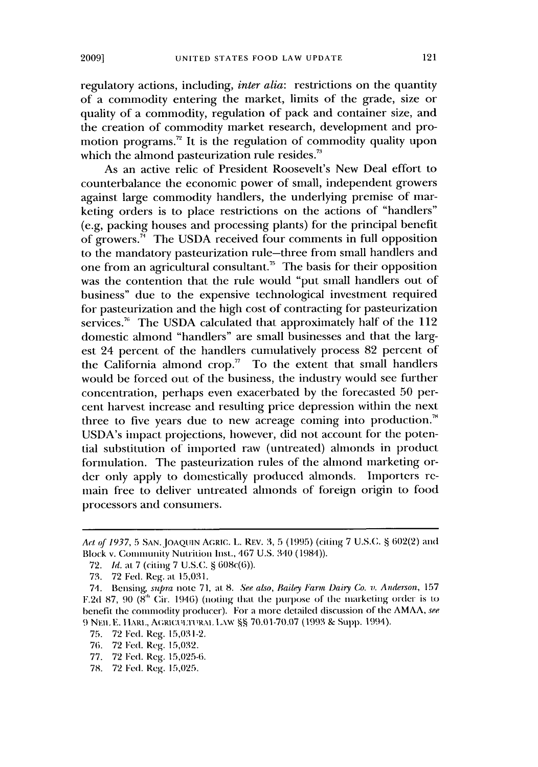regulatory actions, including, *inter alia:* restrictions on the quantity of a commodity entering the market, limits of the grade, size or quality of a commodity, regulation of pack and container size, and the creation of commodity market research, development and promotion programs.<sup>72</sup> It is the regulation of commodity quality upon which the almond pasteurization rule resides.<sup>73</sup>

As an active relic of President Roosevelt's New Deal effort to counterbalance the economic power of small, independent growers against large commodity handlers, the underlying premise of marketing orders is to place restrictions on the actions of "handlers" (e.g, packing houses and processing plants) for the principal benefit of growers." The **USDA** received four comments in full opposition to the mandatory pasteurization rule-three from small handlers and one from an agricultural consultant." The basis for their opposition was the contention that the rule would "put small handlers out of business" due to the expensive technological investment required for pasteurization and the high cost of contracting for pasteurization services." The **USDA** calculated that approximately half of the 112 domestic almond "handlers" are small businesses and that the largest 24 percent of the handlers cumulatively process **82** percent of the California almond crop." To the extent that small handlers would be forced out of the business, the industry would see further concentration, perhaps even exacerbated **by** the forecasted *50* percent harvest increase and resulting price depression within the next three to five years due to new acreage coming into production.<sup>"</sup> USDA's impact projections, however, did not account for the potential substitution of imported raw (untreated) almonds in product formulation. The pasteurization rules of the almond marketing order only apply to domestically produced almonds. Importers remain free to deliver untreated almonds of foreign origin to food processors and consumers.

**75. 72** Fed. Reg. **15,031-2.**

- **77. 72 Fed.** Reg. 15,025-6.
- **78. 72** Fed. Reg. **15,025.**

*Act* of **1937, 5 SAN.JOAQUIN** AGRIC. **L.** RE. **3,5 (1995)** (citing **7 U.S.C. § 602(2)** and Block v. Community Nutrition Inst., **467 U.S.** 340 (1984)).

**<sup>72.</sup> Id.** at **7 (citing 7 U.S.C. §** 608c(6)).

**<sup>73. 72</sup>** Fed. Reg. at **15,031.**

<sup>71.</sup> Bensing, supra note **71,** at **8.** See also, Bailey Farm *Dairy Co.* v. Anderson, **157** F.2d 87, 90 (8<sup>th</sup> Cir. 1946) (noting that the purpose of the marketing order is to benefit the commodity producer). For a more detailed discussion of the **AMAA,** see **9** Nnu **E. I** IARI., AGRIC.l'l:n-11RAL LAw **§§ 70.01-70.07 (1993 &** Supp. 1994).

<sup>76.</sup> **72 Fed.** Reg. **15,032.**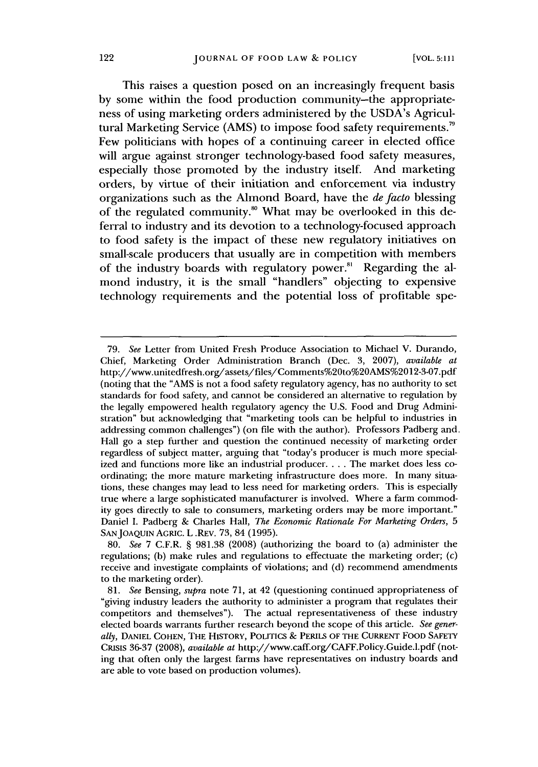This raises a question posed on an increasingly frequent basis **by** some within the food production community-the appropriateness of using marketing orders administered **by** the USDA's Agricultural Marketing Service **(AMS)** to impose food safety requirements." Few politicians with hopes of a continuing career in elected office will argue against stronger technology-based food safety measures, especially those promoted **by** the industry itself. And marketing orders, **by** virtue of their initiation and enforcement via industry organizations such as the Almond Board, have the de facto blessing of the regulated community." What may **be** overlooked in this deferral to industry and its devotion to a technology-focused approach to food safety is the impact of these new regulatory initiatives on small-scale producers that usually are in competition with members of the industry boards with regulatory power."' Regarding the almond industry, it is the small "handlers" objecting to expensive technology requirements and the potential loss of profitable spe-

**<sup>79.</sup>** *See* Letter from United Fresh Produce Association to Michael V. Durando, Chief, Marketing Order Administration Branch (Dec. **3, 2007),** *available at* http://www.unitedfresh.org/assets/files/Comments%20to%20AMS%2012-3-07.pdf (noting that the **"AMS** is not a food safety regulatory agency, has no authority to set standards for food safety, and cannot be considered an alternative to regulation **by** the legally empowered health regulatory agency the **U.S.** Food and Drug Administration" but acknowledging that "marketing tools can be helpful to industries in addressing common challenges") (on file with the author). Professors Padberg and. Hall go a step further and question the continued necessity of marketing order regardless of subject matter, arguing that "today's producer is much more specialized and functions more like an industrial producer. . . **.** The market does less coordinating; the more mature marketing infrastructure does more. In many situations, these changes may lead to less need for marketing orders. This is especially true where a large sophisticated manufacturer is involved. Where a farm commodity goes directly to sale to consumers, marketing orders may be more important." Daniel **I.** Padberg **&** Charles Hall, *The Economic Rationale For Marketing Orders,* **5 SANJOAQUIN AGRIC.** L .REV. **73,** 84 **(1995).**

*<sup>80.</sup> See* **7** C.F.R. **§ 981.38 (2008)** (authorizing the board to (a) administer the regulations; **(b)** make rules and regulations to effectuate the marketing order; (c) receive and investigate complaints of violations; and **(d)** recommend amendments to the marketing order).

*<sup>81.</sup> See* Bensing, *supra* note **71,** at 42 (questioning continued appropriateness of "giving industry leaders the authority to administer a program that regulates their competitors and themselves"). The actual representativeness of these industry elected boards warrants further research beyond the scope of this article. *See generally,* **DANIEL COHEN, THE HISTORY, POLITICS & PERILS OF THE CURRENT FOOD SAFETY CRISIS 36-37 (2008),** *available at* http://www.caff.org/CAFF.Policy.Guide.l.pdf (noting that often only the largest farms have representatives on industry boards and are able to vote based on production volumes).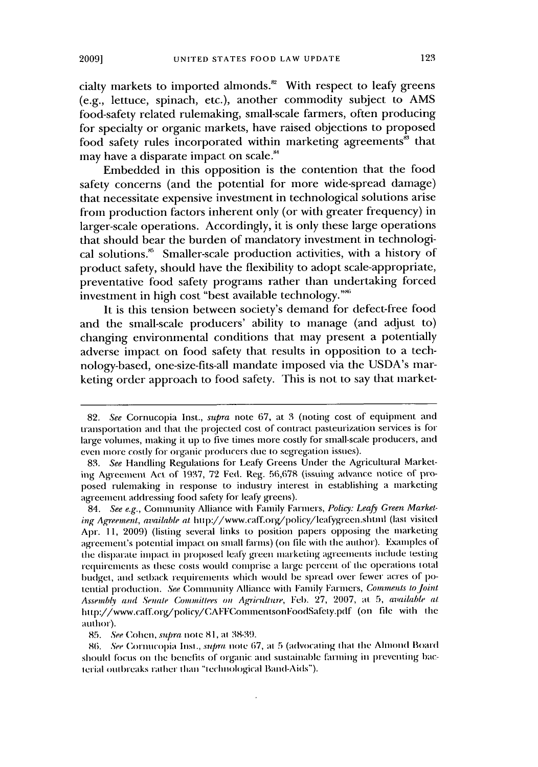cialty markets to imported almonds.<sup>82</sup> With respect to leafy greens (e.g., lettuce, spinach, etc.), another commodity subject to **AMS** food-safety related rulemaking, small-scale farmers, often producing for specialty or organic markets, have raised objections to proposed food safety rules incorporated within marketing agreements<sup>88</sup> that may have a disparate impact on scale.<sup>84</sup>

Embedded in this opposition is the contention that the food safety concerns (and the potential for more wide-spread damage) that necessitate expensive investment in technological solutions arise from production factors inherent only (or with greater frequency) in larger-scale operations. Accordingly, it is only these large operations that should bear the burden of mandatory investment in technological solutions." Smaller-scale production activities, with a history of product safety, should have the flexibility to adopt scale-appropriate, preventative food safety programs rather than undertaking forced investment in high cost "best available technology. **"'**

It is this tension between society's demand for defect-free food and the small-scale producers' ability to manage (and adjust to) changing environmental conditions that may present a potentially adverse impact on food safety that results in opposition to a technology-based, one-size-fits-all mandate imposed via the USDA's marketing order approach to food safety. This is not to say that market-

**<sup>82.</sup>** See Cornucopia Inst., supra note **67,** at **3** (noting cost of equipment and **transportation** and that the projected cost **of** contract pasteurization services is **for** large volumes, making it **up** to five times more costly for small-scale producers, and even more costly for organic producers due to segregation issues).

**<sup>83.</sup>** See Handling Regulations for Leafy Greens Under the Agricultural Marketing Agreement Act of 1937, **72** Fed. Reg. 56,678 (issuing advance notice of **pro**posed rulemaking in response to industry interest in establishing a marketing agreement. addressing food safety for leafy greens).

*<sup>84.</sup>* See e.g., Community Alliance with Family Farmers, Policy: Leafy Green Marketing Agreement, available at http://www.caff.org/policy/leafygreen.shtml (last visited **Apr. 11, 2009)** (listing several links to position papers opposing the marketing agteeiment's potential impact on small farms) (on **file** with the author). Examples of the disparate impact in proposed leafy green marketing agreements include testing requirements as these costs would comprise a large percent of the operations total budget, and setback requirements which would be spread over fewer acres of potential production. See Community Alliance with Family Farmers, *Conments* **to** joint Assembly and Senale *Conmiteliees on* Agriculture, **Feb. 27, 2007, at 5,** available at ht tp://www.caff.org/policy/CAFFConuinentsonFoodSafety.pdf (on **file** with tlie author).

**<sup>85.</sup>** See *Cohen,* supra niote **81, at** 38-39.

<sup>86.</sup> See Cornucopia Inst., supra **note** 67, at **5** (advocating that die Almond Board should focus on the benefits of organic and sustainable farming in preventing bacterial outbreaks rather than "technological Band-Aids").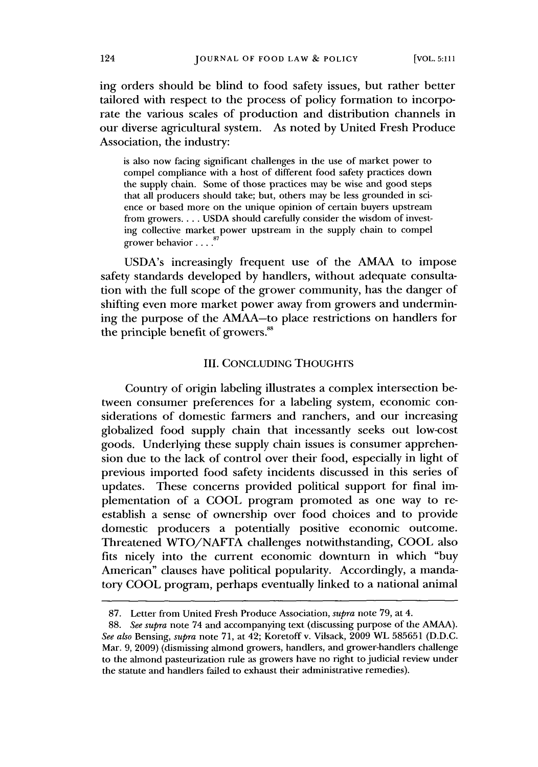ing orders should be blind to food safety issues, but rather better tailored with respect to the process of policy formation to incorporate the various scales of production and distribution channels in our diverse agricultural system. As noted **by** United Fresh Produce Association, the industry:

is also now facing significant challenges in the use of market power to compel compliance with a host of different food safety practices down the supply chain. Some of those practices may **be** wise and good steps that all producers should take; but, others may be less grounded in science or based more on the unique opinion of certain buyers upstream from growers... **. USDA** should carefully consider the wisdom of investing collective market power upstream in the supply chain to compel grower behavior. **. . .".**

USDA's increasingly frequent use of the **AMAA** to impose safety standards developed **by** handlers, without adequate consultation with the full scope of the grower community, has the danger of shifting even more market power away from growers and undermining the purpose of the AMAA-to place restrictions on handlers for the principle benefit of growers.'

#### III. **CONCLUDING THOUGHTS**

Country of origin labeling illustrates a complex intersection between consumer preferences for a labeling system, economic considerations of domestic farmers and ranchers, and our increasing globalized food supply chain that incessantly seeks out low-cost goods. Underlying these supply chain issues is consumer apprehension due to the lack of control over their food, especially in light of previous imported food safety incidents discussed in this series of updates. These concerns provided political support for final implementation of a **COOL** program promoted as one way to reestablish a sense of ownership over food choices and to provide domestic producers a potentially positive economic outcome. Threatened **WTO/NAFTA** challenges notwithstanding, **COOL** also fits nicely into the current economic downturn in which "buy American" clauses have political popularity. Accordingly, a mandatory **COOL** program, perhaps eventually linked to a national animal

**<sup>87.</sup>** Letter from United Fresh Produce Association, *supra* note **79,** at 4.

**<sup>88.</sup>** *See supra* note 74 and accompanying text (discussing purpose of the **AMAA).** *See also* Bensing, *supra* note **71,** at 42; Koretoff v. Vilsack, **2009** WL **585651 (D.D.C.** Mar. **9, 2009)** (dismissing almond growers, handlers, and grower-handlers challenge to the almond pasteurization rule as growers have no right to judicial review under the statute and handlers failed to exhaust their administrative remedies).